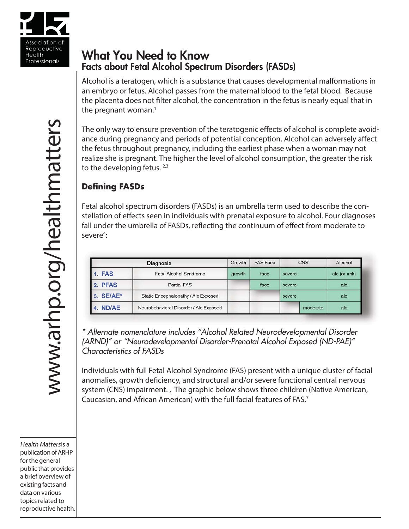

# What You Need to Know Facts about Fetal Alcohol Spectrum Disorders (FASDs)

Alcohol is a teratogen, which is a substance that causes developmental malformations in an embryo or fetus. Alcohol passes from the maternal blood to the fetal blood. Because the placenta does not filter alcohol, the concentration in the fetus is nearly equal that in the pregnant woman. $1$ 

The only way to ensure prevention of the teratogenic effects of alcohol is complete avoidance during pregnancy and periods of potential conception. Alcohol can adversely affect the fetus throughout pregnancy, including the earliest phase when a woman may not realize she is pregnant. The higher the level of alcohol consumption, the greater the risk to the developing fetus.  $2,3$ 

# **Defi ning FASDs**

Fetal alcohol spectrum disorders (FASDs) is an umbrella term used to describe the constellation of effects seen in individuals with prenatal exposure to alcohol. Four diagnoses fall under the umbrella of FASDs, reflecting the continuum of effect from moderate to severe<sup>4</sup>:

| Diagnosis     |                                        | Growth | <b>FAS Face</b> |        | CNS      | Alcohol      |
|---------------|----------------------------------------|--------|-----------------|--------|----------|--------------|
| <b>1. FAS</b> | Fetal Alcohol Syndrome                 | growth | face            | severe |          | alc (or unk) |
| 2. PFAS       | <b>Partial FAS</b>                     |        | face            | severe |          | alc          |
| 3. SE/AE*     | Static Encephalopathy / Alc Exposed    |        |                 | severe |          | alc          |
| 4. ND/AE      | Neurobehavioral Disorder / Alc Exposed |        |                 |        | moderate | alc          |

*\* Alternate nomenclature includes "Alcohol Related Neurodevelopmental Disorder (ARND)" or "Neurodevelopmental Disorder-Prenatal Alcohol Exposed (ND-PAE)" Characteristics of FASDs*

Individuals with full Fetal Alcohol Syndrome (FAS) present with a unique cluster of facial anomalies, growth deficiency, and structural and/or severe functional central nervous system (CNS) impairment. , The graphic below shows three children (Native American, Caucasian, and African American) with the full facial features of FAS.7

Health Mattersis a publication of ARHP for the general public that provides a brief overview of existing facts and data on various topics related to reproductive health.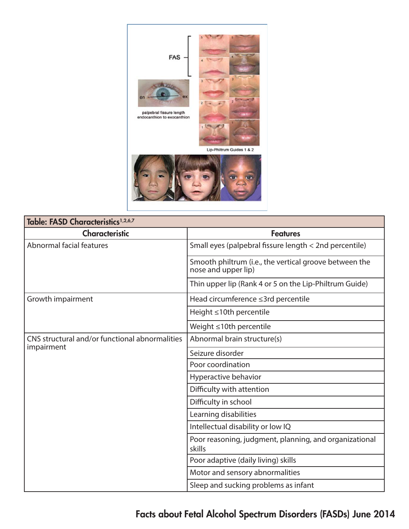

| Table: FASD Characteristics <sup>1,2,6,7</sup> |                                                                               |  |  |  |
|------------------------------------------------|-------------------------------------------------------------------------------|--|--|--|
| <b>Characteristic</b>                          | <b>Features</b>                                                               |  |  |  |
| Abnormal facial features                       | Small eyes (palpebral fissure length < 2nd percentile)                        |  |  |  |
|                                                | Smooth philtrum (i.e., the vertical groove between the<br>nose and upper lip) |  |  |  |
|                                                | Thin upper lip (Rank 4 or 5 on the Lip-Philtrum Guide)                        |  |  |  |
| Growth impairment                              | Head circumference ≤3rd percentile                                            |  |  |  |
|                                                | Height ≤10th percentile                                                       |  |  |  |
|                                                | Weight ≤10th percentile                                                       |  |  |  |
| CNS structural and/or functional abnormalities | Abnormal brain structure(s)                                                   |  |  |  |
| impairment                                     | Seizure disorder                                                              |  |  |  |
|                                                | Poor coordination                                                             |  |  |  |
|                                                | Hyperactive behavior                                                          |  |  |  |
|                                                | Difficulty with attention                                                     |  |  |  |
|                                                | Difficulty in school                                                          |  |  |  |
|                                                | Learning disabilities                                                         |  |  |  |
|                                                | Intellectual disability or low IQ                                             |  |  |  |
|                                                | Poor reasoning, judgment, planning, and organizational<br>skills              |  |  |  |
|                                                | Poor adaptive (daily living) skills                                           |  |  |  |
|                                                | Motor and sensory abnormalities                                               |  |  |  |
|                                                | Sleep and sucking problems as infant                                          |  |  |  |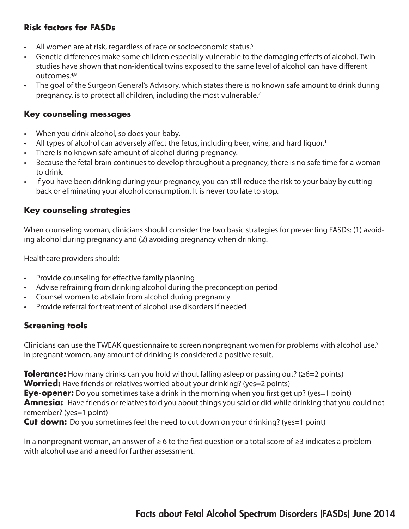# **Risk factors for FASDs**

- All women are at risk, regardless of race or socioeconomic status.<sup>5</sup>
- Genetic differences make some children especially vulnerable to the damaging effects of alcohol. Twin studies have shown that non-identical twins exposed to the same level of alcohol can have different outcomes.4,8
- The goal of the Surgeon General's Advisory, which states there is no known safe amount to drink during pregnancy, is to protect all children, including the most vulnerable.2

#### **Key counseling messages**

- When you drink alcohol, so does your baby.
- All types of alcohol can adversely affect the fetus, including beer, wine, and hard liquor.<sup>1</sup>
- There is no known safe amount of alcohol during pregnancy.
- Because the fetal brain continues to develop throughout a pregnancy, there is no safe time for a woman to drink.
- If you have been drinking during your pregnancy, you can still reduce the risk to your baby by cutting back or eliminating your alcohol consumption. It is never too late to stop.

#### **Key counseling strategies**

When counseling woman, clinicians should consider the two basic strategies for preventing FASDs: (1) avoiding alcohol during pregnancy and (2) avoiding pregnancy when drinking.

Healthcare providers should:

- Provide counseling for effective family planning
- Advise refraining from drinking alcohol during the preconception period
- Counsel women to abstain from alcohol during pregnancy
- Provide referral for treatment of alcohol use disorders if needed

# **Screening tools**

Clinicians can use the TWEAK questionnaire to screen nonpregnant women for problems with alcohol use. $^9$ In pregnant women, any amount of drinking is considered a positive result.

**Tolerance:** How many drinks can you hold without falling asleep or passing out? (≥6=2 points) **Worried:** Have friends or relatives worried about your drinking? (yes=2 points) **Eye-opener:** Do you sometimes take a drink in the morning when you first get up? (yes=1 point) **Amnesia:** Have friends or relatives told you about things you said or did while drinking that you could not remember? (yes=1 point)

**Cut down:** Do you sometimes feel the need to cut down on your drinking? (yes=1 point)

In a nonpregnant woman, an answer of  $\geq 6$  to the first question or a total score of  $\geq 3$  indicates a problem with alcohol use and a need for further assessment.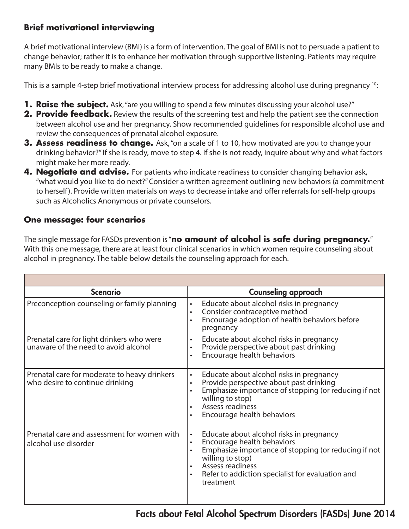# **Brief motivational interviewing**

A brief motivational interview (BMI) is a form of intervention. The goal of BMI is not to persuade a patient to change behavior; rather it is to enhance her motivation through supportive listening. Patients may require many BMIs to be ready to make a change.

This is a sample 4-step brief motivational interview process for addressing alcohol use during pregnancy <sup>10</sup>:

- **1. Raise the subject.** Ask, "are you willing to spend a few minutes discussing your alcohol use?"
- **2. Provide feedback.** Review the results of the screening test and help the patient see the connection between alcohol use and her pregnancy. Show recommended guidelines for responsible alcohol use and review the consequences of prenatal alcohol exposure.
- **3. Assess readiness to change.** Ask, "on a scale of 1 to 10, how motivated are you to change your drinking behavior?" If she is ready, move to step 4. If she is not ready, inquire about why and what factors might make her more ready.
- **4. Negotiate and advise.** For patients who indicate readiness to consider changing behavior ask, "what would you like to do next?" Consider a written agreement outlining new behaviors (a commitment to herself). Provide written materials on ways to decrease intake and offer referrals for self-help groups such as Alcoholics Anonymous or private counselors.

# **One message: four scenarios**

The single message for FASDs prevention is "**no amount of alcohol is safe during pregnancy.**" With this one message, there are at least four clinical scenarios in which women require counseling about alcohol in pregnancy. The table below details the counseling approach for each.

| <b>Scenario</b>                                                                   | <b>Counseling approach</b>                                                                                                                                                                                                                                                                  |  |  |  |  |  |
|-----------------------------------------------------------------------------------|---------------------------------------------------------------------------------------------------------------------------------------------------------------------------------------------------------------------------------------------------------------------------------------------|--|--|--|--|--|
| Preconception counseling or family planning                                       | Educate about alcohol risks in pregnancy<br>$\bullet$<br>Consider contraceptive method<br>$\bullet$<br>Encourage adoption of health behaviors before<br>$\bullet$<br>pregnancy                                                                                                              |  |  |  |  |  |
| Prenatal care for light drinkers who were<br>unaware of the need to avoid alcohol | Educate about alcohol risks in pregnancy<br>$\bullet$<br>Provide perspective about past drinking<br>$\bullet$<br>Encourage health behaviors<br>$\bullet$                                                                                                                                    |  |  |  |  |  |
| Prenatal care for moderate to heavy drinkers<br>who desire to continue drinking   | Educate about alcohol risks in pregnancy<br>$\bullet$<br>Provide perspective about past drinking<br>$\bullet$<br>Emphasize importance of stopping (or reducing if not<br>$\bullet$<br>willing to stop)<br>Assess readiness<br>Encourage health behaviors<br>$\bullet$                       |  |  |  |  |  |
| Prenatal care and assessment for women with<br>alcohol use disorder               | Educate about alcohol risks in pregnancy<br>$\bullet$<br>Encourage health behaviors<br>$\bullet$<br>Emphasize importance of stopping (or reducing if not<br>$\bullet$<br>willing to stop)<br>Assess readiness<br>$\bullet$<br>Refer to addiction specialist for evaluation and<br>treatment |  |  |  |  |  |